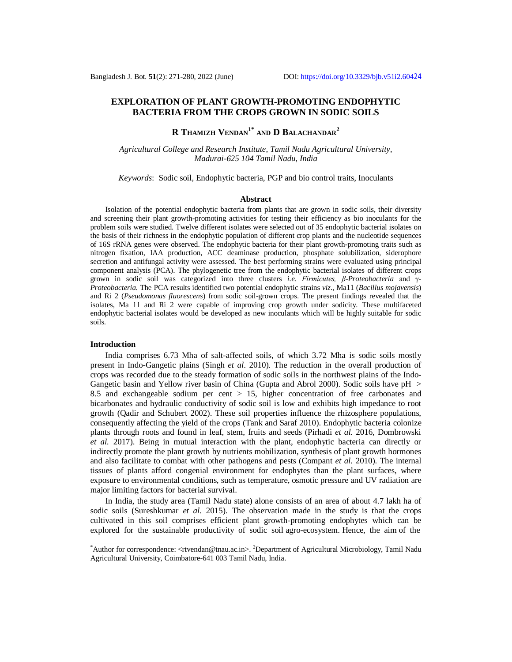# **EXPLORATION OF PLANT GROWTH-PROMOTING ENDOPHYTIC BACTERIA FROM THE CROPS GROWN IN SODIC SOILS**

**R THAMIZH VENDAN1\* AND D BALACHANDAR<sup>2</sup>**

*Agricultural College and Research Institute, Tamil Nadu Agricultural University, Madurai-625 104 Tamil Nadu, India*

*Keywords*: Sodic soil, Endophytic bacteria, PGP and bio control traits, Inoculants

#### **Abstract**

Isolation of the potential endophytic bacteria from plants that are grown in sodic soils, their diversity and screening their plant growth-promoting activities for testing their efficiency as bio inoculants for the problem soils were studied. Twelve different isolates were selected out of 35 endophytic bacterial isolates on the basis of their richness in the endophytic population of different crop plants and the nucleotide sequences of 16S rRNA genes were observed. The endophytic bacteria for their plant growth-promoting traits such as nitrogen fixation, IAA production, ACC deaminase production, phosphate solubilization, siderophore secretion and antifungal activity were assessed. The best performing strains were evaluated using principal component analysis (PCA). The phylogenetic tree from the endophytic bacterial isolates of different crops grown in sodic soil was categorized into three clusters *i.e. Firmicutes, β*-*Proteobacteria* and γ*-Proteobacteria*. The PCA results identified two potential endophytic strains *viz*., Ma11 (*Bacillus mojavensis*) and Ri 2 (*Pseudomonas fluorescens*) from sodic soil-grown crops. The present findings revealed that the isolates, Ma 11 and Ri 2 were capable of improving crop growth under sodicity. These multifaceted endophytic bacterial isolates would be developed as new inoculants which will be highly suitable for sodic soils.

#### **Introduction**

India comprises 6.73 Mha of salt-affected soils, of which 3.72 Mha is sodic soils mostly present in Indo-Gangetic plains (Singh *et al*. 2010). The reduction in the overall production of crops was recorded due to the steady formation of sodic soils in the northwest plains of the Indo-Gangetic basin and Yellow river basin of China (Gupta and Abrol 2000). Sodic soils have  $pH >$ 8.5 and exchangeable sodium per cent > 15, higher concentration of free carbonates and bicarbonates and hydraulic conductivity of sodic soil is low and exhibits high impedance to root growth (Qadir and Schubert 2002). These soil properties influence the rhizosphere populations, consequently affecting the yield of the crops (Tank and Saraf 2010). Endophytic bacteria colonize plants through roots and found in leaf, stem, fruits and seeds (Pirhadi *et al.* 2016, Dombrowski *et al.* 2017). Being in mutual interaction with the plant, endophytic bacteria can directly or indirectly promote the plant growth by nutrients mobilization, synthesis of plant growth hormones and also facilitate to combat with other pathogens and pests (Compant *et al.* 2010). The internal tissues of plants afford congenial environment for endophytes than the plant surfaces, where exposure to environmental conditions, such as temperature, osmotic pressure and UV radiation are major limiting factors for bacterial survival.

 In India, the study area (Tamil Nadu state) alone consists of an area of about 4.7 lakh ha of sodic soils (Sureshkumar *et al*. 2015). The observation made in the study is that the crops cultivated in this soil comprises efficient plant growth-promoting endophytes which can be explored for the sustainable productivity of sodic soil agro-ecosystem. Hence, the aim of the

<sup>\*</sup>Author for correspondence: <[rtvendan@tnau.ac.in>](mailto:rtvendan@tnau.ac.in). <sup>2</sup>Department of Agricultural Microbiology, Tamil Nadu Agricultural University, Coimbatore-641 003 Tamil Nadu, India.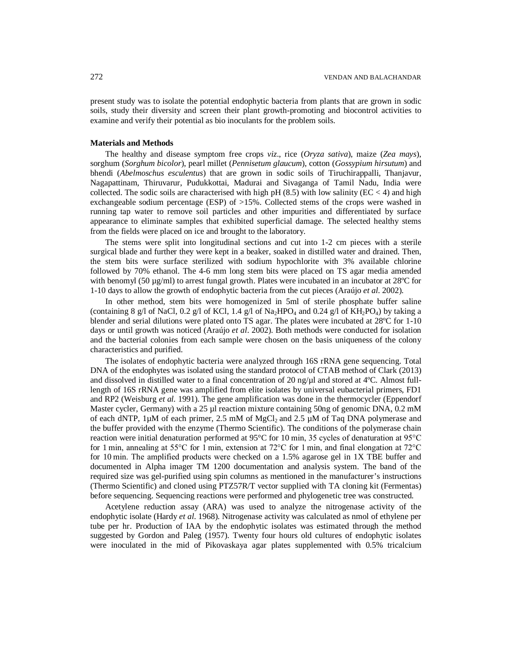present study was to isolate the potential endophytic bacteria from plants that are grown in sodic soils, study their diversity and screen their plant growth-promoting and biocontrol activities to examine and verify their potential as bio inoculants for the problem soils.

# **Materials and Methods**

The healthy and disease symptom free crops *viz*., rice (*Oryza sativa*), maize (*Zea mays*), sorghum (*Sorghum bicolor*), pearl millet (*Pennisetum glaucum*), cotton (*Gossypium hirsutum*) and bhendi (*Abelmoschus esculentus*) that are grown in sodic soils of Tiruchirappalli, Thanjavur, Nagapattinam, Thiruvarur, Pudukkottai, Madurai and Sivaganga of Tamil Nadu, India were collected. The sodic soils are characterised with high pH  $(8.5)$  with low salinity (EC < 4) and high exchangeable sodium percentage (ESP) of >15%. Collected stems of the crops were washed in running tap water to remove soil particles and other impurities and differentiated by surface appearance to eliminate samples that exhibited superficial damage. The selected healthy stems from the fields were placed on ice and brought to the laboratory.

The stems were split into longitudinal sections and cut into 1-2 cm pieces with a sterile surgical blade and further they were kept in a beaker, soaked in distilled water and drained. Then, the stem bits were surface sterilized with sodium hypochlorite with 3% available chlorine followed by 70% ethanol. The 4-6 mm long stem bits were placed on TS agar media amended with benomyl (50  $\mu$ g/ml) to arrest fungal growth. Plates were incubated in an incubator at 28°C for 1-10 days to allow the growth of endophytic bacteria from the cut pieces (Araújo *et al*. 2002).

In other method, stem bits were homogenized in 5ml of sterile phosphate buffer saline (containing 8 g/l of NaCl, 0.2 g/l of KCl, 1.4 g/l of Na<sub>2</sub>HPO<sub>4</sub> and 0.24 g/l of KH<sub>2</sub>PO<sub>4</sub>) by taking a blender and serial dilutions were plated onto TS agar. The plates were incubated at 28°C for 1-10 days or until growth was noticed (Araújo *et al*. 2002). Both methods were conducted for isolation and the bacterial colonies from each sample were chosen on the basis uniqueness of the colony characteristics and purified.

The isolates of endophytic bacteria were analyzed through 16S rRNA gene sequencing. Total DNA of the endophytes was isolated using the standard protocol of CTAB method of Clark (2013) and dissolved in distilled water to a final concentration of 20 ng/ $\mu$ l and stored at 4°C. Almost fulllength of 16S rRNA gene was amplified from elite isolates by universal eubacterial primers, FD1 and RP2 (Weisburg *et al.* 1991). The gene amplification was done in the thermocycler (Eppendorf Master cycler, Germany) with a 25 µl reaction mixture containing 50ng of genomic DNA, 0.2 mM of each dNTP,  $1\mu$ M of each primer, 2.5 mM of MgCl<sub>2</sub> and 2.5  $\mu$ M of Taq DNA polymerase and the buffer provided with the enzyme (Thermo Scientific). The conditions of the polymerase chain reaction were initial denaturation performed at 95°C for 10 min, 35 cycles of denaturation at 95°C for 1 min, annealing at 55°C for 1 min, extension at 72°C for 1 min, and final elongation at 72°C for 10 min. The amplified products were checked on a 1.5% agarose gel in 1X TBE buffer and documented in Alpha imager TM 1200 documentation and analysis system. The band of the required size was gel-purified using spin columns as mentioned in the manufacturer's instructions (Thermo Scientific) and cloned using PTZ57R/T vector supplied with TA cloning kit (Fermentas) before sequencing. Sequencing reactions were performed and phylogenetic tree was constructed.

Acetylene reduction assay (ARA) was used to analyze the nitrogenase activity of the endophytic isolate (Hardy *et al*. 1968). Nitrogenase activity was calculated as nmol of ethylene per tube per hr. Production of IAA by the endophytic isolates was estimated through the method suggested by Gordon and Paleg (1957). Twenty four hours old cultures of endophytic isolates were inoculated in the mid of Pikovaskaya agar plates supplemented with 0.5% tricalcium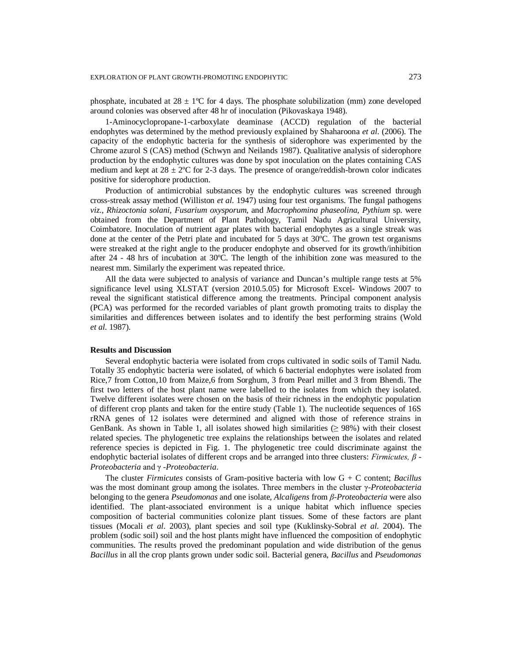phosphate, incubated at  $28 \pm 1^{\circ}$ C for 4 days. The phosphate solubilization (mm) zone developed around colonies was observed after 48 hr of inoculation (Pikovaskaya 1948).

1-Aminocyclopropane-1-carboxylate deaminase (ACCD) regulation of the bacterial endophytes was determined by the method previously explained by Shaharoona *et al*. (2006). The capacity of the endophytic bacteria for the synthesis of siderophore was experimented by the Chrome azurol S (CAS) method (Schwyn and Neilands 1987). Qualitative analysis of siderophore production by the endophytic cultures was done by spot inoculation on the plates containing CAS medium and kept at  $28 \pm 2^{\circ}$ C for 2-3 days. The presence of orange/reddish-brown color indicates positive for siderophore production.

Production of antimicrobial substances by the endophytic cultures was screened through cross-streak assay method (Williston *et al*. 1947) using four test organisms. The fungal pathogens *viz.*, *Rhizoctonia solani, Fusarium oxysporum,* and *Macrophomina phaseolina, Pythium* sp. were obtained from the Department of Plant Pathology, Tamil Nadu Agricultural University, Coimbatore. Inoculation of nutrient agar plates with bacterial endophytes as a single streak was done at the center of the Petri plate and incubated for 5 days at 30ºC. The grown test organisms were streaked at the right angle to the producer endophyte and observed for its growth/inhibition after 24 - 48 hrs of incubation at 30ºC. The length of the inhibition zone was measured to the nearest mm. Similarly the experiment was repeated thrice.

All the data were subjected to analysis of variance and Duncan's multiple range tests at 5% significance level using XLSTAT (version 2010.5.05) for Microsoft Excel- Windows 2007 to reveal the significant statistical difference among the treatments. Principal component analysis (PCA) was performed for the recorded variables of plant growth promoting traits to display the similarities and differences between isolates and to identify the best performing strains (Wold *et al*. 1987).

## **Results and Discussion**

Several endophytic bacteria were isolated from crops cultivated in sodic soils of Tamil Nadu. Totally 35 endophytic bacteria were isolated, of which 6 bacterial endophytes were isolated from Rice,7 from Cotton,10 from Maize,6 from Sorghum, 3 from Pearl millet and 3 from Bhendi. The first two letters of the host plant name were labelled to the isolates from which they isolated. Twelve different isolates were chosen on the basis of their richness in the endophytic population of different crop plants and taken for the entire study (Table 1). The nucleotide sequences of 16S rRNA genes of 12 isolates were determined and aligned with those of reference strains in GenBank. As shown in Table 1, all isolates showed high similarities  $(\geq 98%)$  with their closest related species. The phylogenetic tree explains the relationships between the isolates and related reference species is depicted in Fig. 1. The phylogenetic tree could discriminate against the endophytic bacterial isolates of different crops and be arranged into three clusters: *Firmicutes, β* - *Proteobacteria* and γ *-Proteobacteria*.

The cluster *Firmicutes* consists of Gram-positive bacteria with low G + C content; *Bacillus*  was the most dominant group among the isolates. Three members in the cluster γ-*Proteobacteria*  belonging to the genera *Pseudomonas* and one isolate, *Alcaligens* from *β*-*Proteobacteria* were also identified. The plant-associated environment is a unique habitat which influence species composition of bacterial communities colonize plant tissues. Some of these factors are plant tissues (Mocali *et al*. 2003), plant species and soil type (Kuklinsky-Sobral *et al*. 2004). The problem (sodic soil) soil and the host plants might have influenced the composition of endophytic communities. The results proved the predominant population and wide distribution of the genus *Bacillus* in all the crop plants grown under sodic soil. Bacterial genera, *Bacillus* and *Pseudomonas*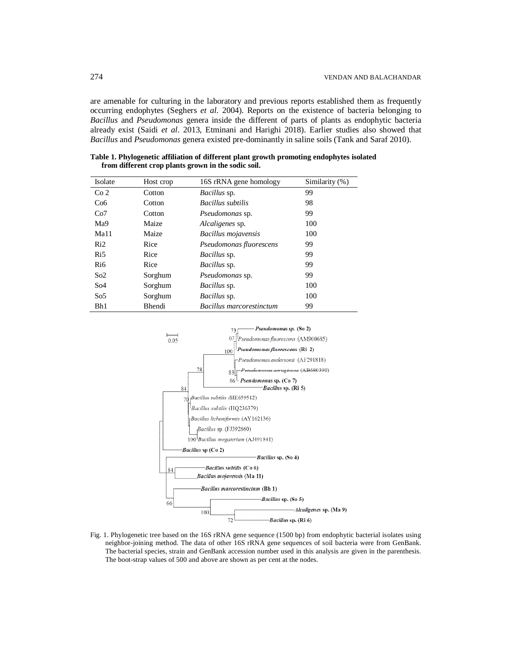are amenable for culturing in the laboratory and previous reports established them as frequently occurring endophytes (Seghers *et al*. 2004). Reports on the existence of bacteria belonging to *Bacillus* and *Pseudomonas* genera inside the different of parts of plants as endophytic bacteria already exist (Saidi *et al*. 2013, Etminani and Harighi 2018). Earlier studies also showed that *Bacillus* and *Pseudomonas* genera existed pre-dominantly in saline soils (Tank and Saraf 2010).

| Isolate          | Host crop | 16S rRNA gene homology          | Similarity (%) |
|------------------|-----------|---------------------------------|----------------|
| Co <sub>2</sub>  | Cotton    | <i>Bacillus</i> sp.             | 99             |
| Co <sub>6</sub>  | Cotton    | <b>Bacillus</b> subtilis        | 98             |
| Co7              | Cotton    | <i>Pseudomonas</i> sp.          | 99             |
| Ma9              | Maize     | <i>Alcaligenes sp.</i>          | 100            |
| Ma <sub>11</sub> | Maize     | Bacillus mojavensis             | 100            |
| Ri2              | Rice      | Pseudomonas fluorescens         | 99             |
| Ri5              | Rice      | <i>Bacillus</i> sp.             | 99             |
| Ri <sub>6</sub>  | Rice      | <i>Bacillus</i> sp.             | 99             |
| So <sub>2</sub>  | Sorghum   | <i>Pseudomonas</i> sp.          | 99             |
| So <sub>4</sub>  | Sorghum   | <i>Bacillus</i> sp.             | 100            |
| So <sub>5</sub>  | Sorghum   | <i>Bacillus</i> sp.             | 100            |
| Bh1              | Bhendi    | <b>Bacillus marcorestinctum</b> | 99             |

**Table 1. Phylogenetic affiliation of different plant growth promoting endophytes isolated from different crop plants grown in the sodic soil.**



Fig. 1. Phylogenetic tree based on the 16S rRNA gene sequence (1500 bp) from endophytic bacterial isolates using neighbor-joining method. The data of other 16S rRNA gene sequences of soil bacteria were from GenBank. The bacterial species, strain and GenBank accession number used in this analysis are given in the parenthesis. The boot-strap values of 500 and above are shown as per cent at the nodes.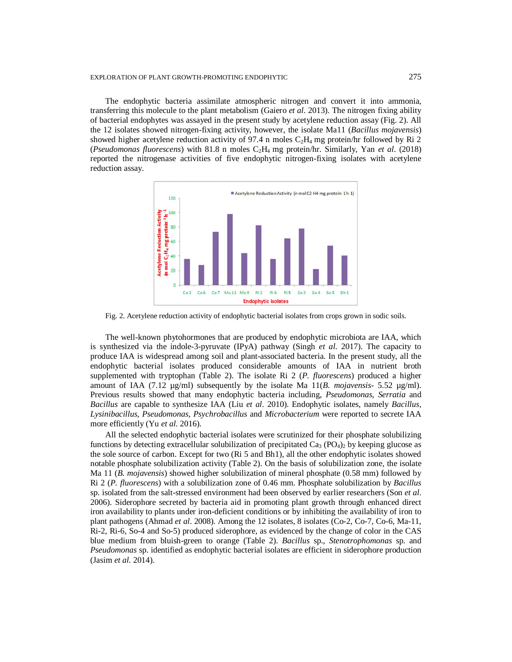## EXPLORATION OF PLANT GROWTH-PROMOTING ENDOPHYTIC 275

The endophytic bacteria assimilate atmospheric nitrogen and convert it into ammonia, transferring this molecule to the plant metabolism (Gaiero *et al*. 2013). The nitrogen fixing ability of bacterial endophytes was assayed in the present study by acetylene reduction assay (Fig. 2). All the 12 isolates showed nitrogen-fixing activity, however, the isolate Ma11 (*Bacillus mojavensis*) showed higher acetylene reduction activity of 97.4 n moles  $C_2H_4$  mg protein/hr followed by Ri 2 (*Pseudomonas fluorescens*) with 81.8 n moles C2H4 mg protein/hr. Similarly, Yan *et al*. (2018) reported the nitrogenase activities of five endophytic nitrogen-fixing isolates with acetylene reduction assay.



Fig. 2. Acetylene reduction activity of endophytic bacterial isolates from crops grown in sodic soils.

The well-known phytohormones that are produced by endophytic microbiota are IAA, which is synthesized via the indole-3-pyruvate (IPyA) pathway (Singh *et al*. 2017). The capacity to produce IAA is widespread among soil and plant-associated bacteria. In the present study, all the endophytic bacterial isolates produced considerable amounts of IAA in nutrient broth supplemented with tryptophan (Table 2). The isolate Ri 2 (*P. fluorescens*) produced a higher amount of IAA (7.12 µg/ml) subsequently by the isolate Ma 11(*B. mojavensis*- 5.52 µg/ml). Previous results showed that many endophytic bacteria including, *Pseudomonas*, *Serratia* and *Bacillus* are capable to synthesize IAA (Liu *et al*. 2010). Endophytic isolates, namely *Bacillus, Lysinibacillus, Pseudomonas, Psychrobacillus* and *Microbacterium* were reported to secrete IAA more efficiently (Yu *et al*. 2016).

All the selected endophytic bacterial isolates were scrutinized for their phosphate solubilizing functions by detecting extracellular solubilization of precipitated  $Ca<sub>3</sub>$  (PO<sub>4</sub>)<sub>2</sub> by keeping glucose as the sole source of carbon. Except for two (Ri 5 and Bh1), all the other endophytic isolates showed notable phosphate solubilization activity (Table 2). On the basis of solubilization zone, the isolate Ma 11 (*B. mojavensis*) showed higher solubilization of mineral phosphate (0.58 mm) followed by Ri 2 (*P. fluorescens*) with a solubilization zone of 0.46 mm. Phosphate solubilization by *Bacillus* sp. isolated from the salt-stressed environment had been observed by earlier researchers (Son *et al*. 2006). Siderophore secreted by bacteria aid in promoting plant growth through enhanced direct iron availability to plants under iron-deficient conditions or by inhibiting the availability of iron to plant pathogens (Ahmad *et al*. 2008). Among the 12 isolates, 8 isolates (Co-2, Co-7, Co-6, Ma-11, Ri-2, Ri-6, So-4 and So-5) produced siderophore, as evidenced by the change of color in the CAS blue medium from bluish-green to orange (Table 2). *Bacillus* sp., *Stenotrophomonas* sp. and *Pseudomonas* sp. identified as endophytic bacterial isolates are efficient in siderophore production (Jasim *et al*. 2014).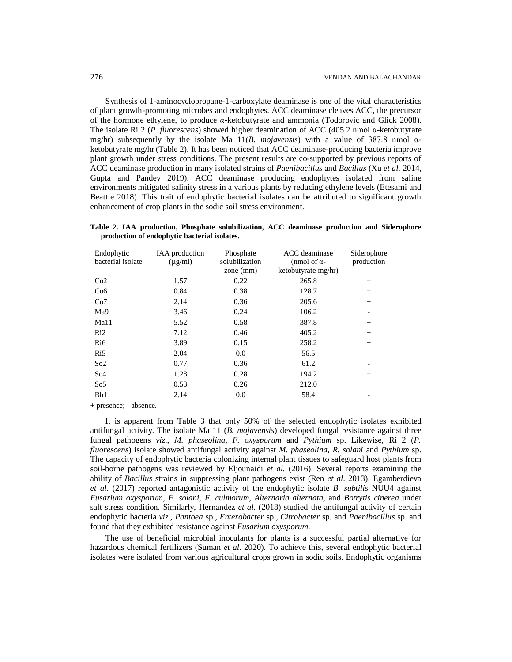Synthesis of 1-aminocyclopropane-1-carboxylate deaminase is one of the vital characteristics of plant growth-promoting microbes and endophytes. ACC deaminase cleaves ACC, the precursor of the hormone ethylene, to produce *α*-ketobutyrate and ammonia (Todorovic and Glick 2008). The isolate Ri 2 (*P. fluorescens*) showed higher deamination of ACC (405.2 nmol α-ketobutyrate mg/hr) subsequently by the isolate Ma 11(*B. mojavensis*) with a value of 387.8 nmol αketobutyrate mg/hr (Table 2). It has been noticed that ACC deaminase-producing bacteria improve plant growth under stress conditions. The present results are co-supported by previous reports of ACC deaminase production in many isolated strains of *Paenibacillus* and *Bacillus* (Xu *et al*. 2014, Gupta and Pandey 2019). ACC deaminase producing endophytes isolated from saline environments mitigated salinity stress in a various plants by reducing ethylene levels (Etesami and Beattie 2018). This trait of endophytic bacterial isolates can be attributed to significant growth enhancement of crop plants in the sodic soil stress environment.

**Table 2. IAA production, Phosphate solubilization, ACC deaminase production and Siderophore production of endophytic bacterial isolates.**

| Endophytic<br>bacterial isolate | <b>IAA</b> production<br>$(\mu g/ml)$ | Phosphate<br>solubilization<br>zone $(mm)$ | ACC deaminase<br>(nmol of $\alpha$ -<br>ketobutyrate mg/hr) | Siderophore<br>production |
|---------------------------------|---------------------------------------|--------------------------------------------|-------------------------------------------------------------|---------------------------|
| Co2                             | 1.57                                  | 0.22                                       | 265.8                                                       | $^{+}$                    |
| Co6                             | 0.84                                  | 0.38                                       | 128.7                                                       | $^{+}$                    |
| Co7                             | 2.14                                  | 0.36                                       | 205.6                                                       | $^{+}$                    |
| Ma9                             | 3.46                                  | 0.24                                       | 106.2                                                       | $\overline{\phantom{a}}$  |
| Ma11                            | 5.52                                  | 0.58                                       | 387.8                                                       | $+$                       |
| Ri2                             | 7.12                                  | 0.46                                       | 405.2                                                       | $^{+}$                    |
| R <sub>i</sub> 6                | 3.89                                  | 0.15                                       | 258.2                                                       | $^{+}$                    |
| R <sub>i5</sub>                 | 2.04                                  | 0.0                                        | 56.5                                                        |                           |
| So <sub>2</sub>                 | 0.77                                  | 0.36                                       | 61.2                                                        |                           |
| So4                             | 1.28                                  | 0.28                                       | 194.2                                                       | $^{+}$                    |
| So <sub>5</sub>                 | 0.58                                  | 0.26                                       | 212.0                                                       | $^{+}$                    |
| Bh1                             | 2.14                                  | 0.0                                        | 58.4                                                        |                           |

+ presence; - absence.

It is apparent from Table 3 that only 50% of the selected endophytic isolates exhibited antifungal activity. The isolate Ma 11 (*B. mojavensis*) developed fungal resistance against three fungal pathogens *viz*., *M. phaseolina, F. oxysporum* and *Pythium* sp. Likewise, Ri 2 (*P. fluorescens*) isolate showed antifungal activity against *M. phaseolina, R. solani* and *Pythium* sp. The capacity of endophytic bacteria colonizing internal plant tissues to safeguard host plants from soil-borne pathogens was reviewed by Eljounaidi *et al.* (2016). Several reports examining the ability of *Bacillus* strains in suppressing plant pathogens exist (Ren *et al*. 2013). Egamberdieva *et al.* (2017) reported antagonistic activity of the endophytic isolate *B. subtilis* NUU4 against *Fusarium oxysporum, F. solani, F. culmorum, Alternaria alternata,* and *Botrytis cinerea* under salt stress condition. Similarly, Hernandez *et al.* (2018) studied the antifungal activity of certain endophytic bacteria *viz*., *Pantoea* sp., *Enterobacter* sp., *Citrobacter* sp. and *Paenibacillus* sp. and found that they exhibited resistance against *Fusarium oxysporum*.

The use of beneficial microbial inoculants for plants is a successful partial alternative for hazardous chemical fertilizers (Suman *et al*. 2020). To achieve this, several endophytic bacterial isolates were isolated from various agricultural crops grown in sodic soils. Endophytic organisms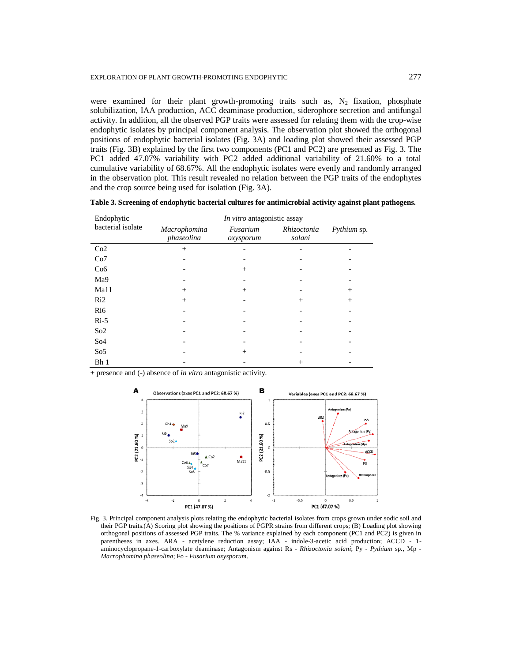were examined for their plant growth-promoting traits such as,  $N_2$  fixation, phosphate solubilization, IAA production, ACC deaminase production, siderophore secretion and antifungal activity. In addition, all the observed PGP traits were assessed for relating them with the crop-wise endophytic isolates by principal component analysis. The observation plot showed the orthogonal positions of endophytic bacterial isolates (Fig. 3A) and loading plot showed their assessed PGP traits (Fig. 3B) explained by the first two components (PC1 and PC2) are presented as Fig. 3. The PC1 added 47.07% variability with PC2 added additional variability of 21.60% to a total cumulative variability of 68.67%. All the endophytic isolates were evenly and randomly arranged in the observation plot. This result revealed no relation between the PGP traits of the endophytes and the crop source being used for isolation (Fig. 3A).

**Table 3. Screening of endophytic bacterial cultures for antimicrobial activity against plant pathogens.**

| Endophytic        | In vitro antagonistic assay |                       |                       |             |  |
|-------------------|-----------------------------|-----------------------|-----------------------|-------------|--|
| bacterial isolate | Macrophomina<br>phaseolina  | Fusarium<br>oxysporum | Rhizoctonia<br>solani | Pythium sp. |  |
| Co2               | $^{+}$                      |                       |                       |             |  |
| Co7               |                             |                       |                       |             |  |
| Co6               |                             | $^{+}$                |                       |             |  |
| Ma9               |                             |                       |                       |             |  |
| Ma11              | $^{+}$                      | $^{+}$                |                       | $^{+}$      |  |
| Ri2               | $^{+}$                      |                       | $^{+}$                | $^{+}$      |  |
| Ri <sub>6</sub>   |                             |                       |                       |             |  |
| $Ri-5$            |                             |                       |                       |             |  |
| So2               |                             |                       |                       |             |  |
| S <sub>o</sub> 4  |                             |                       |                       |             |  |
| So <sub>5</sub>   |                             | $^{+}$                |                       |             |  |
| Bh 1              |                             |                       | $^+$                  |             |  |

+ presence and (-) absence of *in vitro* antagonistic activity.



Fig. 3. Principal component analysis plots relating the endophytic bacterial isolates from crops grown under sodic soil and their PGP traits.(A) Scoring plot showing the positions of PGPR strains from different crops; (B) Loading plot showing orthogonal positions of assessed PGP traits. The % variance explained by each component (PC1 and PC2) is given in parentheses in axes. ARA - acetylene reduction assay; IAA - indole-3-acetic acid production; ACCD - 1 aminocyclopropane-1-carboxylate deaminase; Antagonism against Rs - *Rhizoctonia solani*; Py - *Pythium* sp., Mp - *Macrophomina phaseolina*; Fo - *Fusarium oxysporum*.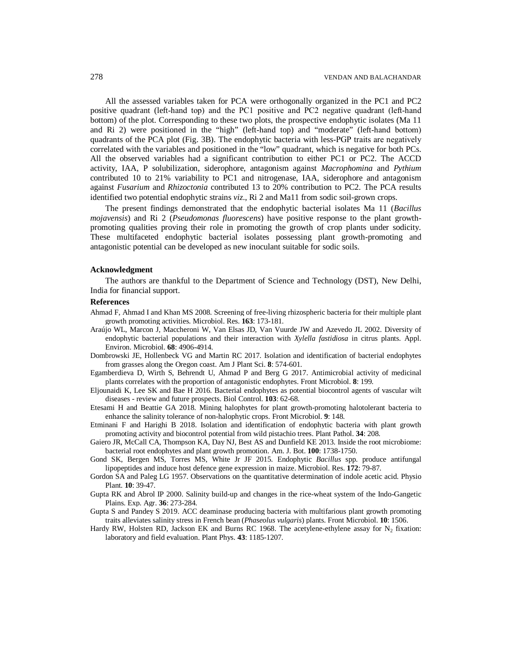All the assessed variables taken for PCA were orthogonally organized in the PC1 and PC2 positive quadrant (left-hand top) and the PC1 positive and PC2 negative quadrant (left-hand bottom) of the plot. Corresponding to these two plots, the prospective endophytic isolates (Ma 11 and Ri 2) were positioned in the "high" (left-hand top) and "moderate" (left-hand bottom) quadrants of the PCA plot (Fig. 3B). The endophytic bacteria with less‐PGP traits are negatively correlated with the variables and positioned in the "low" quadrant, which is negative for both PCs. All the observed variables had a significant contribution to either PC1 or PC2. The ACCD activity, IAA, P solubilization, siderophore, antagonism against *Macrophomina* and *Pythium*  contributed 10 to 21% variability to PC1 and nitrogenase, IAA, siderophore and antagonism against *Fusarium* and *Rhizoctonia* contributed 13 to 20% contribution to PC2. The PCA results identified two potential endophytic strains *viz*., Ri 2 and Ma11 from sodic soil-grown crops.

The present findings demonstrated that the endophytic bacterial isolates Ma 11 (*Bacillus mojavensis*) and Ri 2 (*Pseudomonas fluorescens*) have positive response to the plant growthpromoting qualities proving their role in promoting the growth of crop plants under sodicity. These multifaceted endophytic bacterial isolates possessing plant growth-promoting and antagonistic potential can be developed as new inoculant suitable for sodic soils.

## **Acknowledgment**

The authors are thankful to the Department of Science and Technology (DST), New Delhi, India for financial support.

# **References**

- Ahmad F, Ahmad I and Khan MS 2008. Screening of free-living rhizospheric bacteria for their multiple plant growth promoting activities. Microbiol. Res. **163**: 173-181.
- Araújo WL, Marcon J, Maccheroni W, Van Elsas JD, Van Vuurde JW and Azevedo JL 2002. Diversity of endophytic bacterial populations and their interaction with *Xylella fastidiosa* in citrus plants. Appl. Environ. Microbiol. **68**: 4906-4914.
- Dombrowski JE, Hollenbeck VG and Martin RC 2017. Isolation and identification of bacterial endophytes from grasses along the Oregon coast. Am J Plant Sci. **8**: 574-601.
- Egamberdieva D, Wirth S, Behrendt U, Ahmad P and Berg G 2017. Antimicrobial activity of medicinal plants correlates with the proportion of antagonistic endophytes. Front Microbiol. **8**: 199.
- Eljounaidi K, Lee SK and Bae H 2016. Bacterial endophytes as potential biocontrol agents of vascular wilt diseases - review and future prospects. Biol Control. **103**: 62-68.
- Etesami H and Beattie GA 2018. Mining halophytes for plant growth-promoting halotolerant bacteria to enhance the salinity tolerance of non-halophytic crops. Front Microbiol. **9**: 148.
- Etminani F and Harighi B 2018. Isolation and identification of endophytic bacteria with plant growth promoting activity and biocontrol potential from wild pistachio trees. Plant Pathol. **34**: 208.
- Gaiero JR, McCall CA, Thompson KA, Day NJ, Best AS and Dunfield KE 2013. Inside the root microbiome: bacterial root endophytes and plant growth promotion. Am. J. Bot. **100**: 1738-1750.
- Gond SK, Bergen MS, Torres MS, White Jr JF 2015. Endophytic *Bacillus* spp. produce antifungal lipopeptides and induce host defence gene expression in maize. Microbiol. Res. **172**: 79-87.
- Gordon SA and Paleg LG 1957. Observations on the quantitative determination of indole acetic acid. Physio Plant. **10**: 39-47.
- Gupta RK and Abrol IP 2000. Salinity build-up and changes in the rice-wheat system of the Indo-Gangetic Plains. Exp. Agr. **36**: 273-284.
- Gupta S and Pandey S 2019. ACC deaminase producing bacteria with multifarious plant growth promoting traits alleviates salinity stress in French bean (*Phaseolus vulgaris*) plants. Front Microbiol. **10**: 1506.
- Hardy RW, Holsten RD, Jackson EK and Burns RC 1968. The acetylene-ethylene assay for  $N_2$  fixation: laboratory and field evaluation. Plant Phys. **43**: 1185-1207.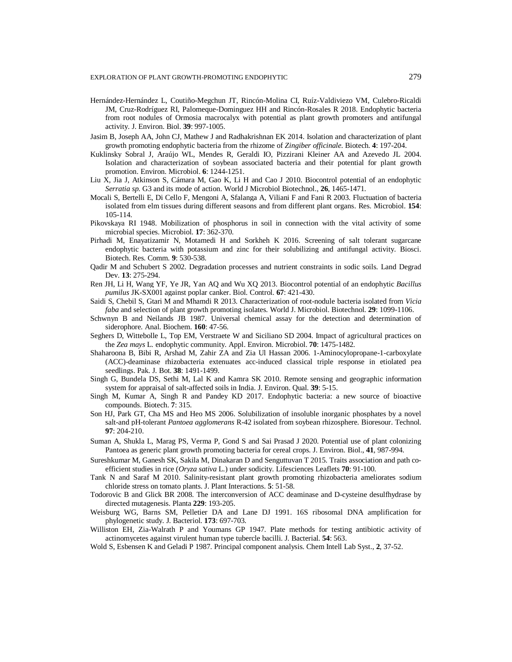#### EXPLORATION OF PLANT GROWTH-PROMOTING ENDOPHYTIC 279

- Hernández-Hernández L, Coutiño-Megchun JT, Rincón-Molina CI, Ruíz-Valdiviezo VM, Culebro-Ricaldi JM, Cruz-Rodríguez RI, Palomeque-Dominguez HH and Rincón-Rosales R 2018. Endophytic bacteria from root nodules of Ormosia macrocalyx with potential as plant growth promoters and antifungal activity. J. Environ. Biol. **39**: 997-1005.
- Jasim B, Joseph AA, John CJ, Mathew J and Radhakrishnan EK 2014. Isolation and characterization of plant growth promoting endophytic bacteria from the rhizome of *Zingiber officinale*. Biotech. **4**: 197-204.
- Kuklinsky Sobral J, Araújo WL, Mendes R, Geraldi IO, Pizzirani Kleiner AA and Azevedo JL 2004. Isolation and characterization of soybean associated bacteria and their potential for plant growth promotion. Environ. Microbiol. **6**: 1244-1251.
- Liu X, Jia J, Atkinson S, Cámara M, Gao K, Li H and Cao J 2010. Biocontrol potential of an endophytic *Serratia sp.* G3 and its mode of action. World J Microbiol Biotechnol., **26**, 1465-1471.
- Mocali S, Bertelli E, Di Cello F, Mengoni A, Sfalanga A, Viliani F and Fani R 2003. Fluctuation of bacteria isolated from elm tissues during different seasons and from different plant organs. Res. Microbiol. **154**: 105-114.
- Pikovskaya RI 1948. Mobilization of phosphorus in soil in connection with the vital activity of some microbial species. Microbiol. **17**: 362-370.
- Pirhadi M, Enayatizamir N, Motamedi H and Sorkheh K 2016. Screening of salt tolerant sugarcane endophytic bacteria with potassium and zinc for their solubilizing and antifungal activity. Biosci. Biotech. Res. Comm. **9**: 530-538.
- Qadir M and Schubert S 2002. Degradation processes and nutrient constraints in sodic soils. Land Degrad Dev. **13**: 275-294.
- Ren JH, Li H, Wang YF, Ye JR, Yan AQ and Wu XQ 2013. Biocontrol potential of an endophytic *Bacillus pumilus* JK-SX001 against poplar canker. Biol. Control. **67**: 421-430.
- Saidi S, Chebil S, Gtari M and Mhamdi R 2013. Characterization of root-nodule bacteria isolated from *Vicia faba* and selection of plant growth promoting isolates. World J. Microbiol. Biotechnol. **29**: 1099-1106.
- Schwnyn B and Neilands JB 1987. Universal chemical assay for the detection and determination of siderophore. Anal. Biochem. **160**: 47-56.
- Seghers D, Wittebolle L, Top EM, Verstraete W and Siciliano SD 2004. Impact of agricultural practices on the *Zea mays* L. endophytic community. Appl. Environ. Microbiol. **70**: 1475-1482.
- Shaharoona B, Bibi R, Arshad M, Zahir ZA and Zia Ul Hassan 2006. 1-Aminocylopropane-1-carboxylate (ACC)-deaminase rhizobacteria extenuates acc-induced classical triple response in etiolated pea seedlings. Pak. J. Bot. **38**: 1491-1499.
- Singh G, Bundela DS, Sethi M, Lal K and Kamra SK 2010. Remote sensing and geographic information system for appraisal of salt-affected soils in India. J. Environ. Qual. **39**: 5-15.
- Singh M, Kumar A, Singh R and Pandey KD 2017. Endophytic bacteria: a new source of bioactive compounds. Biotech. **7**: 315.
- Son HJ, Park GT, Cha MS and Heo MS 2006. Solubilization of insoluble inorganic phosphates by a novel salt-and pH-tolerant *Pantoea agglomerans* R-42 isolated from soybean rhizosphere. Bioresour. Technol. **97**: 204-210.
- Suman A, Shukla L, Marag PS, Verma P, Gond S and Sai Prasad J 2020. Potential use of plant colonizing Pantoea as generic plant growth promoting bacteria for cereal crops. J. Environ. Biol., **41**, 987-994.
- Sureshkumar M, Ganesh SK, Sakila M, Dinakaran D and Senguttuvan T 2015. Traits association and path coefficient studies in rice (*Oryza sativa* L.) under sodicity. Lifesciences Leaflets **70**: 91-100.
- Tank N and Saraf M 2010. Salinity-resistant plant growth promoting rhizobacteria ameliorates sodium chloride stress on tomato plants. J. Plant Interactions. **5**: 51-58.
- Todorovic B and Glick BR 2008. The interconversion of ACC deaminase and D-cysteine desulfhydrase by directed mutagenesis. Planta **229**: 193-205.
- Weisburg WG, Barns SM, Pelletier DA and Lane DJ 1991. 16S ribosomal DNA amplification for phylogenetic study. J. Bacteriol. **173**: 697-703.
- Williston EH, Zia-Walrath P and Youmans GP 1947. Plate methods for testing antibiotic activity of actinomycetes against virulent human type tubercle bacilli. J. Bacterial. **54**: 563.
- Wold S, Esbensen K and Geladi P 1987. Principal component analysis. Chem Intell Lab Syst., **2**, 37-52.